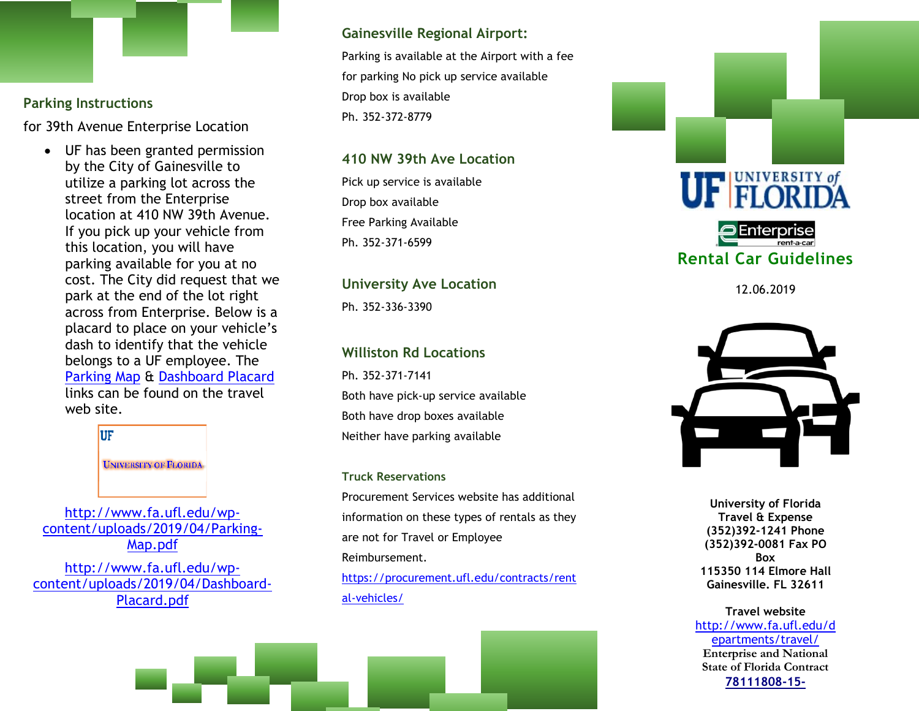# **Parking Instructions**

for 39th Avenue Enterprise Location

• UF has been granted permission by the City of Gainesville to utilize a parking lot across the street from the Enterprise location at 410 NW 39th Avenue. If you pick up your vehicle from this location, you will have parking available for you at no cost. The City did request that we park at the end of the lot right across from Enterprise. Below is a placard to place on your vehicle's dash to identify that the vehicle belongs to a UF employee. The [Parking Map](http://www.fa.ufl.edu/wp-content/uploads/2019/04/Parking-Map.pdf) & [Dashboard Placard](http://www.fa.ufl.edu/wp-content/uploads/2019/04/Dashboard-Placard.pdf) links can be found on the travel web site.



[http://www.fa.ufl.edu/wp](http://www.fa.ufl.edu/wp-content/uploads/2019/04/Parking-Map.pdf)[content/uploads/2019/04/Parking-](http://www.fa.ufl.edu/wp-content/uploads/2019/04/Parking-Map.pdf)[Map.pdf](http://www.fa.ufl.edu/wp-content/uploads/2019/04/Parking-Map.pdf)

[http://www.fa.ufl.edu/wp](http://www.fa.ufl.edu/wp-content/uploads/2019/04/Dashboard-Placard.pdf)[content/uploads/2019/04/Dashboard-](http://www.fa.ufl.edu/wp-content/uploads/2019/04/Dashboard-Placard.pdf)[Placard.pdf](http://www.fa.ufl.edu/wp-content/uploads/2019/04/Dashboard-Placard.pdf)

## **Gainesville Regional Airport:**

Parking is available at the Airport with a fee for parking No pick up service available Drop box is available Ph. 352-372-8779

## **410 NW 39th Ave Location**

Pick up service is available Drop box available Free Parking Available Ph. 352-371-6599

# **University Ave Location**

Ph. 352-336-3390

# **Williston Rd Locations**

Ph. 352-371-7141 Both have pick-up service available Both have drop boxes available Neither have parking available

## **Truck Reservations**

Procurement Services website has additional information on these types of rentals as they are not for Travel or Employee Reimbursement. [https://procurement.ufl.edu/contracts/rent](https://procurement.ufl.edu/contracts/rental-vehicles/)

[al-vehicles/](https://procurement.ufl.edu/contracts/rental-vehicles/)



12.06.2019



**University of Florida Travel & Expense (352)392-1241 Phone (352)392-0081 Fax PO Box 115350 114 Elmore Hall Gainesville. FL 32611**

## **Travel website**  [http://www.fa.ufl.edu/d](http://www.fa.ufl.edu/departments/travel/) [epartments/travel/](http://www.fa.ufl.edu/departments/travel/) **Enterprise and National State of Florida Contrac[t](https://my.ufl.edu/psp/ps/EMPLOYEE/ERP/c/AUDIT_EXPENSE_FUNCTIONS.TE_EXP_SHEET_INQ.GBL?&cmd=uninav&Rnode=ERP&uninavpath=Root%7bPORTAL_ROOT_OBJECT%7d.NO_CRUMB%7bPTUN_11453933000069066,PORTAL_ROOT_OBJECT%7d.View%7bEPTE_EXP_SHT_INQ2_GBL%7d) [78111808-15-](https://www.dms.myflorida.com/content/download/117938/647951/version/18/file/Rental+Vehicles_Contract+No.+78111808-15-1+&+AM+1.pdf)**